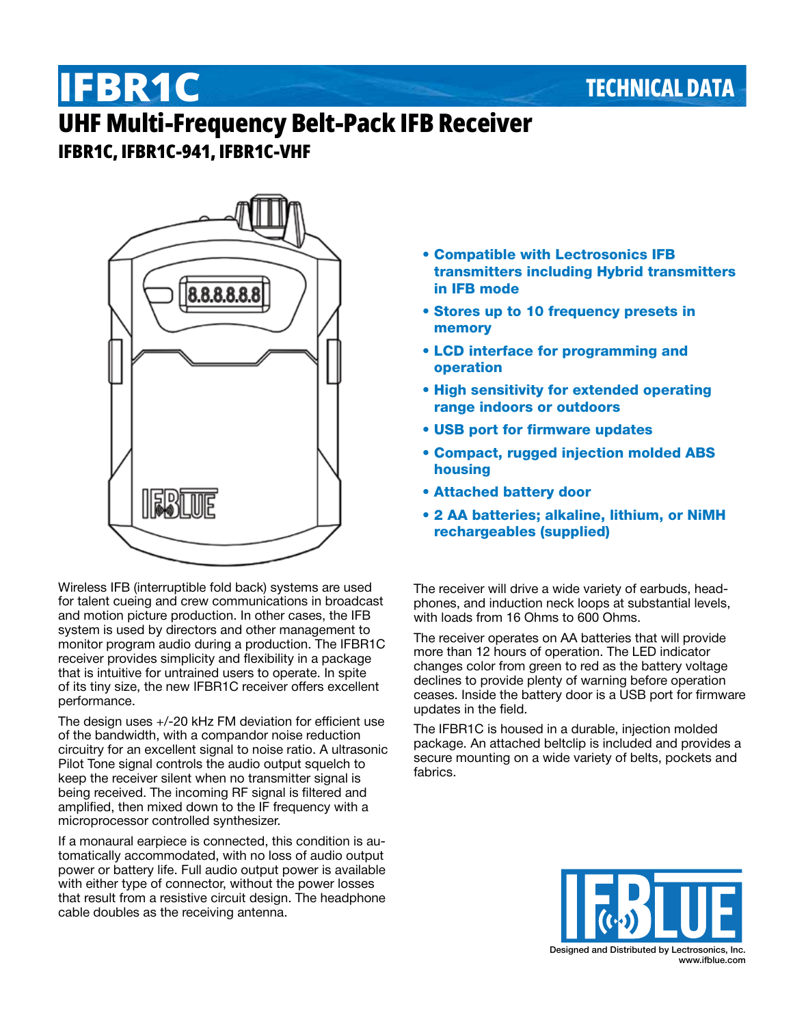## **TECHNICAL DATA**

# **IFBR1C UHF Multi-Frequency Belt-Pack IFB Receiver IFBR1C, IFBR1C-941, IFBR1C-VHF**



Wireless IFB (interruptible fold back) systems are used for talent cueing and crew communications in broadcast and motion picture production. In other cases, the IFB system is used by directors and other management to monitor program audio during a production. The IFBR1C receiver provides simplicity and flexibility in a package that is intuitive for untrained users to operate. In spite of its tiny size, the new IFBR1C receiver offers excellent performance.

The design uses +/-20 kHz FM deviation for efficient use of the bandwidth, with a compandor noise reduction circuitry for an excellent signal to noise ratio. A ultrasonic Pilot Tone signal controls the audio output squelch to keep the receiver silent when no transmitter signal is being received. The incoming RF signal is filtered and amplified, then mixed down to the IF frequency with a microprocessor controlled synthesizer.

If a monaural earpiece is connected, this condition is automatically accommodated, with no loss of audio output power or battery life. Full audio output power is available with either type of connector, without the power losses that result from a resistive circuit design. The headphone cable doubles as the receiving antenna.

- Compatible with Lectrosonics IFB transmitters including Hybrid transmitters in IFB mode
- Stores up to 10 frequency presets in memory
- LCD interface for programming and operation
- High sensitivity for extended operating range indoors or outdoors
- USB port for firmware updates
- Compact, rugged injection molded ABS housing
- Attached battery door
- 2 AA batteries; alkaline, lithium, or NiMH rechargeables (supplied)

The receiver will drive a wide variety of earbuds, headphones, and induction neck loops at substantial levels, with loads from 16 Ohms to 600 Ohms.

The receiver operates on AA batteries that will provide more than 12 hours of operation. The LED indicator changes color from green to red as the battery voltage declines to provide plenty of warning before operation ceases. Inside the battery door is a USB port for firmware updates in the field.

The IFBR1C is housed in a durable, injection molded package. An attached beltclip is included and provides a secure mounting on a wide variety of belts, pockets and fabrics.